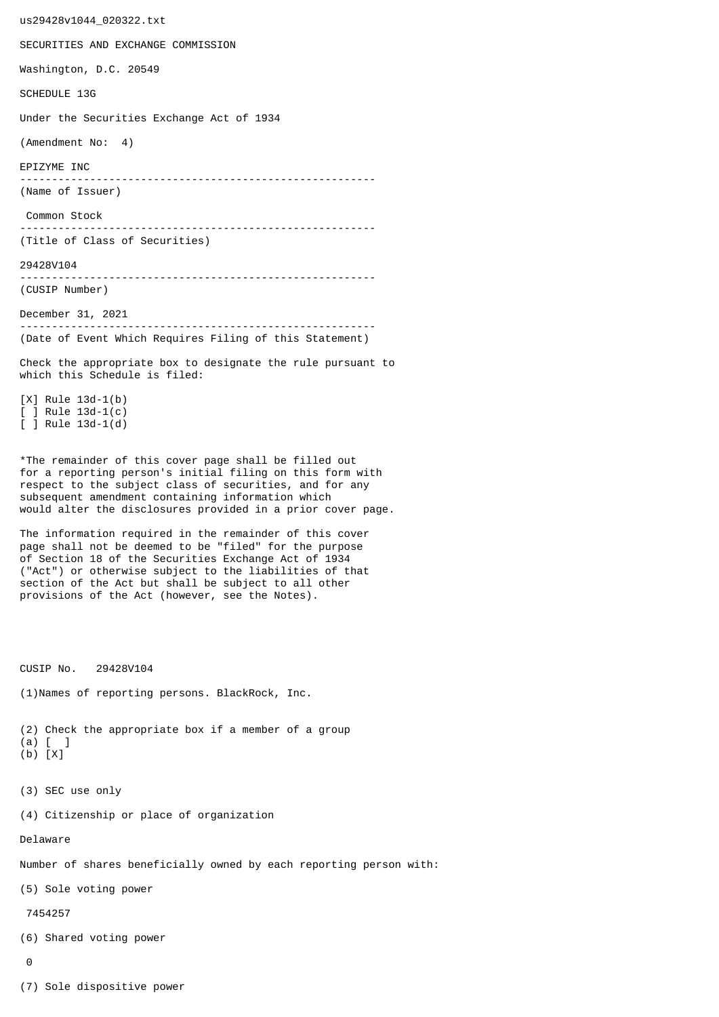us29428v1044\_020322.txt SECURITIES AND EXCHANGE COMMISSION Washington, D.C. 20549 SCHEDULE 13G Under the Securities Exchange Act of 1934 (Amendment No: 4) EPIZYME INC -------------------------------------------------------- (Name of Issuer) Common Stock -------------------------------------------------------- (Title of Class of Securities) 29428V104 -------------------------------------------------------- (CUSIP Number) December 31, 2021 -------------------------------------------------------- (Date of Event Which Requires Filing of this Statement) Check the appropriate box to designate the rule pursuant to which this Schedule is filed: [X] Rule 13d-1(b) [ ] Rule 13d-1(c) [ ] Rule 13d-1(d) \*The remainder of this cover page shall be filled out for a reporting person's initial filing on this form with respect to the subject class of securities, and for any subsequent amendment containing information which would alter the disclosures provided in a prior cover page. The information required in the remainder of this cover page shall not be deemed to be "filed" for the purpose of Section 18 of the Securities Exchange Act of 1934 ("Act") or otherwise subject to the liabilities of that section of the Act but shall be subject to all other provisions of the Act (however, see the Notes). CUSIP No. 29428V104 (1)Names of reporting persons. BlackRock, Inc. (2) Check the appropriate box if a member of a group (a) [ ] (b) [X] (3) SEC use only (4) Citizenship or place of organization Delaware Number of shares beneficially owned by each reporting person with: (5) Sole voting power 7454257 (6) Shared voting power  $\Omega$ 

(7) Sole dispositive power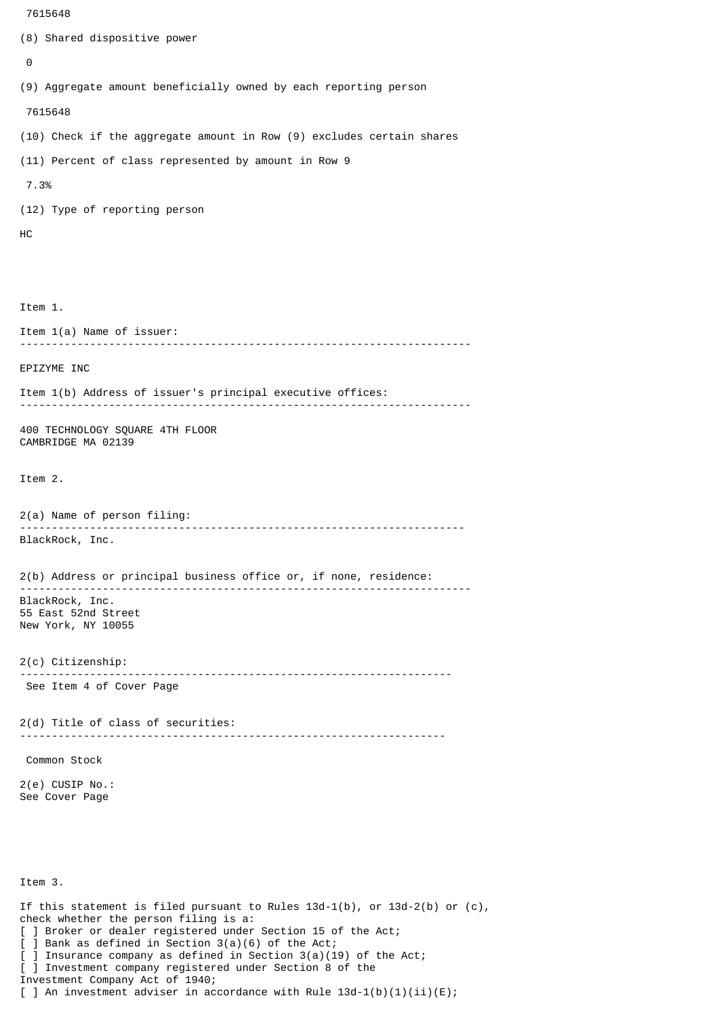```
 7615648
```

```
(8) Shared dispositive power
 \boldsymbol{\Theta}(9) Aggregate amount beneficially owned by each reporting person
  7615648
(10) Check if the aggregate amount in Row (9) excludes certain shares
(11) Percent of class represented by amount in Row 9
  7.3%
(12) Type of reporting person
HC
Item 1.
Item 1(a) Name of issuer:
           -----------------------------------------------------------------------
EPIZYME INC
Item 1(b) Address of issuer's principal executive offices:
-----------------------------------------------------------------------
400 TECHNOLOGY SQUARE 4TH FLOOR
CAMBRIDGE MA 02139
Item 2.
2(a) Name of person filing:
               ----------------------------------------------------------------------
BlackRock, Inc.
2(b) Address or principal business office or, if none, residence:
 -----------------------------------------------------------------------
BlackRock, Inc.
55 East 52nd Street
New York, NY 10055
2(c) Citizenship:
                            --------------------------------------------------------------------
 See Item 4 of Cover Page
2(d) Title of class of securities:
                                      -------------------------------------------------------------------
 Common Stock
2(e) CUSIP No.:
See Cover Page
Item 3.
If this statement is filed pursuant to Rules 13d-1(b), or 13d-2(b) or (c),
check whether the person filing is a:
[ ] Broker or dealer registered under Section 15 of the Act;
[ ] Bank as defined in Section 3(a)(6) of the Act;
  ] Insurance company as defined in Section 3(a)(19) of the Act;
[ ] Investment company registered under Section 8 of the
Investment Company Act of 1940;
```
[ ] An investment adviser in accordance with Rule  $13d-1(b)(1)(ii)(E)$ ;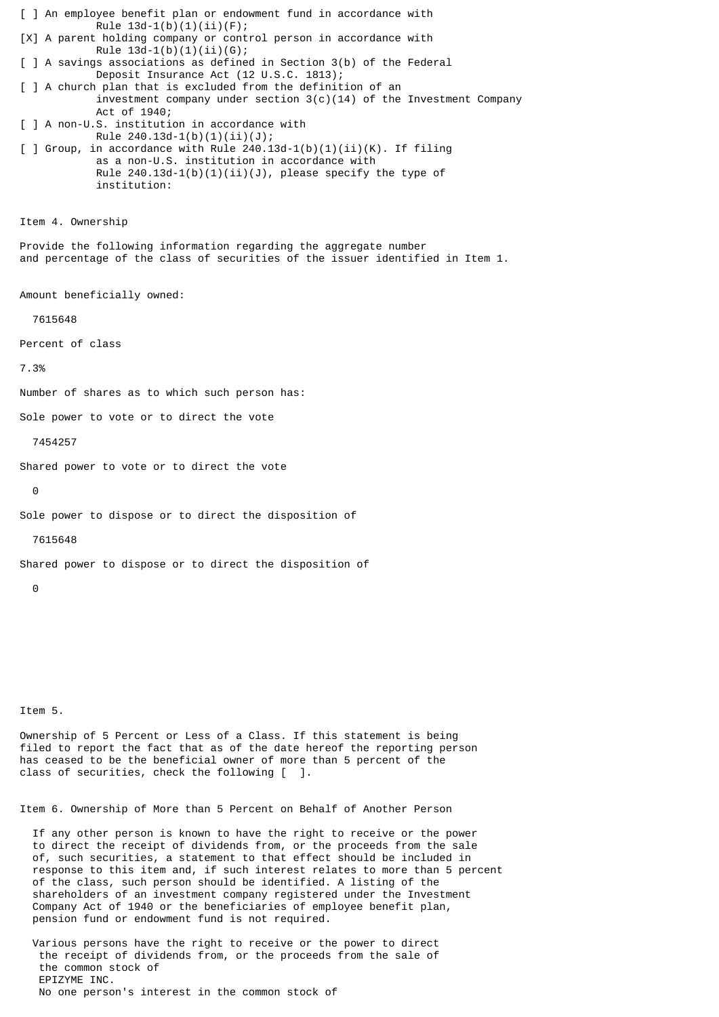[ ] An employee benefit plan or endowment fund in accordance with Rule  $13d-1(b)(1)(ii)(F);$ [X] A parent holding company or control person in accordance with Rule  $13d-1(b)(1)(ii)(G);$ [ ] A savings associations as defined in Section 3(b) of the Federal Deposit Insurance Act (12 U.S.C. 1813); [ ] A church plan that is excluded from the definition of an investment company under section  $3(c)(14)$  of the Investment Company Act of 1940; [ ] A non-U.S. institution in accordance with Rule 240.13d-1(b)(1)(ii)(J);  $\lceil$  ] Group, in accordance with Rule 240.13d-1(b)(1)(ii)(K). If filing as a non-U.S. institution in accordance with Rule  $240.13d-1(b)(1)(ii)(J)$ , please specify the type of institution: Item 4. Ownership Provide the following information regarding the aggregate number and percentage of the class of securities of the issuer identified in Item 1. Amount beneficially owned: 7615648 Percent of class 7.3% Number of shares as to which such person has: Sole power to vote or to direct the vote 7454257 Shared power to vote or to direct the vote  $\Theta$ Sole power to dispose or to direct the disposition of 7615648 Shared power to dispose or to direct the disposition of 0

Item 5.

Ownership of 5 Percent or Less of a Class. If this statement is being filed to report the fact that as of the date hereof the reporting person has ceased to be the beneficial owner of more than 5 percent of the class of securities, check the following [ ].

Item 6. Ownership of More than 5 Percent on Behalf of Another Person

 If any other person is known to have the right to receive or the power to direct the receipt of dividends from, or the proceeds from the sale of, such securities, a statement to that effect should be included in response to this item and, if such interest relates to more than 5 percent of the class, such person should be identified. A listing of the shareholders of an investment company registered under the Investment Company Act of 1940 or the beneficiaries of employee benefit plan, pension fund or endowment fund is not required.

 Various persons have the right to receive or the power to direct the receipt of dividends from, or the proceeds from the sale of the common stock of EPIZYME INC. No one person's interest in the common stock of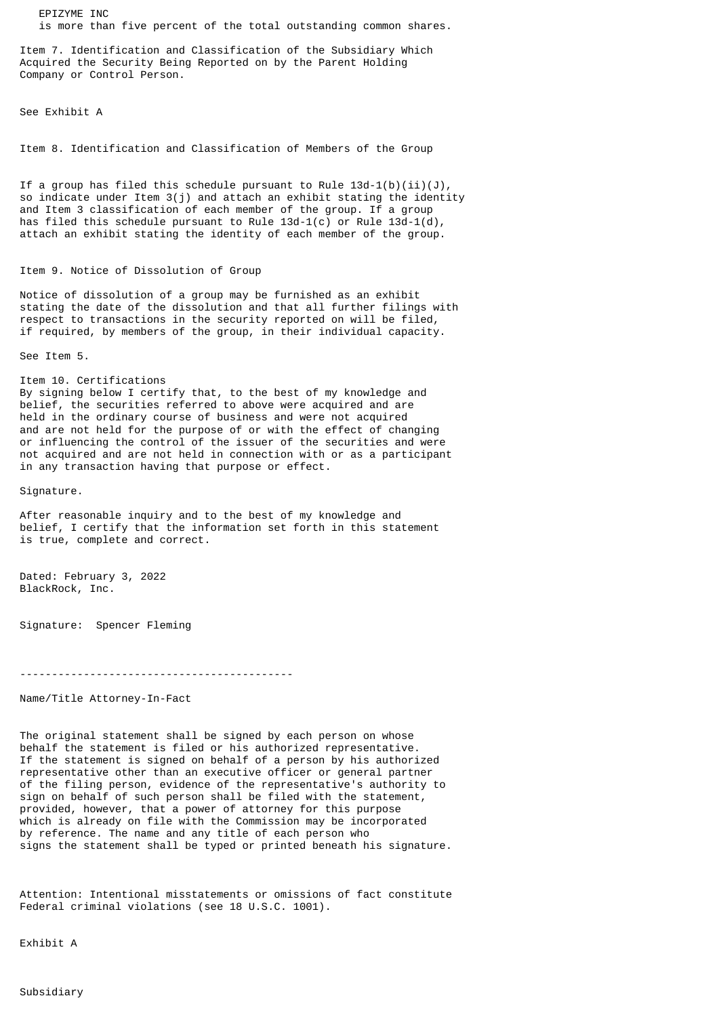EPIZYME INC is more than five percent of the total outstanding common shares.

Item 7. Identification and Classification of the Subsidiary Which Acquired the Security Being Reported on by the Parent Holding Company or Control Person.

See Exhibit A

Item 8. Identification and Classification of Members of the Group

If a group has filed this schedule pursuant to Rule  $13d-1(b)(ii)(J)$ , so indicate under Item 3(j) and attach an exhibit stating the identity and Item 3 classification of each member of the group. If a group has filed this schedule pursuant to Rule  $13d-1(c)$  or Rule  $13d-1(d)$ , attach an exhibit stating the identity of each member of the group.

## Item 9. Notice of Dissolution of Group

Notice of dissolution of a group may be furnished as an exhibit stating the date of the dissolution and that all further filings with respect to transactions in the security reported on will be filed, if required, by members of the group, in their individual capacity.

See Item 5.

Item 10. Certifications By signing below I certify that, to the best of my knowledge and belief, the securities referred to above were acquired and are held in the ordinary course of business and were not acquired and are not held for the purpose of or with the effect of changing or influencing the control of the issuer of the securities and were not acquired and are not held in connection with or as a participant in any transaction having that purpose or effect.

Signature.

After reasonable inquiry and to the best of my knowledge and belief, I certify that the information set forth in this statement is true, complete and correct.

Dated: February 3, 2022 BlackRock, Inc.

Signature: Spencer Fleming

-------------------------------------------

Name/Title Attorney-In-Fact

The original statement shall be signed by each person on whose behalf the statement is filed or his authorized representative. If the statement is signed on behalf of a person by his authorized representative other than an executive officer or general partner of the filing person, evidence of the representative's authority to sign on behalf of such person shall be filed with the statement, provided, however, that a power of attorney for this purpose which is already on file with the Commission may be incorporated by reference. The name and any title of each person who signs the statement shall be typed or printed beneath his signature.

Attention: Intentional misstatements or omissions of fact constitute Federal criminal violations (see 18 U.S.C. 1001).

Exhibit A